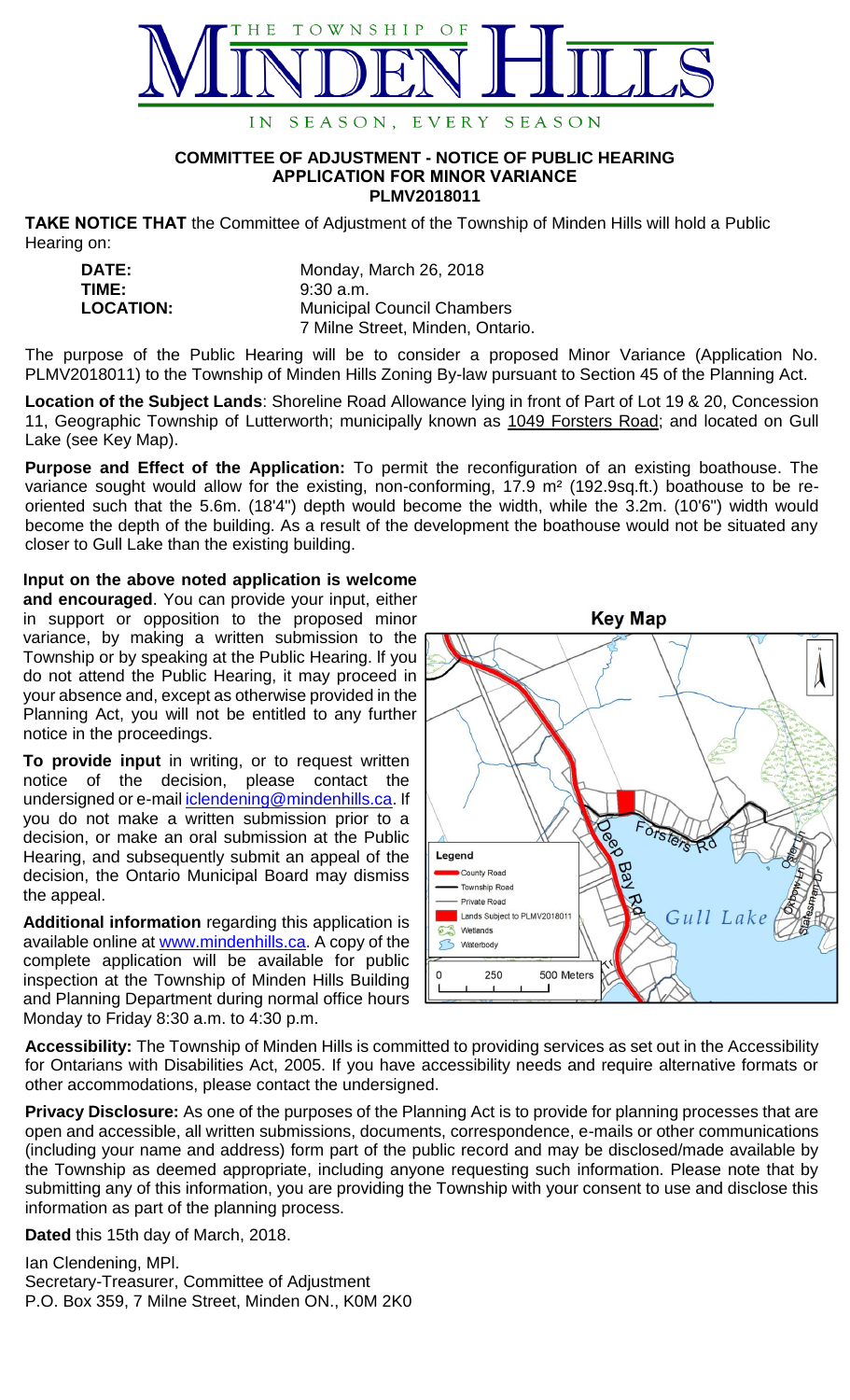

## **COMMITTEE OF ADJUSTMENT - NOTICE OF PUBLIC HEARING APPLICATION FOR MINOR VARIANCE PLMV2018011**

**TAKE NOTICE THAT** the Committee of Adjustment of the Township of Minden Hills will hold a Public Hearing on:

| DATE:            | Monday, March 26, 2018            |
|------------------|-----------------------------------|
| TIME:            | $9:30$ a.m.                       |
| <b>LOCATION:</b> | <b>Municipal Council Chambers</b> |
|                  | 7 Milne Street, Minden, Ontario.  |

The purpose of the Public Hearing will be to consider a proposed Minor Variance (Application No. PLMV2018011) to the Township of Minden Hills Zoning By-law pursuant to Section 45 of the Planning Act.

**Location of the Subject Lands**: Shoreline Road Allowance lying in front of Part of Lot 19 & 20, Concession 11, Geographic Township of Lutterworth; municipally known as 1049 Forsters Road; and located on Gull Lake (see Key Map).

**Purpose and Effect of the Application:** To permit the reconfiguration of an existing boathouse. The variance sought would allow for the existing, non-conforming, 17.9 m<sup>2</sup> (192.9sq.ft.) boathouse to be reoriented such that the 5.6m. (18'4") depth would become the width, while the 3.2m. (10'6") width would become the depth of the building. As a result of the development the boathouse would not be situated any closer to Gull Lake than the existing building.

**Input on the above noted application is welcome and encouraged**. You can provide your input, either in support or opposition to the proposed minor variance, by making a written submission to the Township or by speaking at the Public Hearing. lf you do not attend the Public Hearing, it may proceed in your absence and, except as otherwise provided in the Planning Act, you will not be entitled to any further notice in the proceedings.

**To provide input** in writing, or to request written notice of the decision, please contact the undersigned or e-mail **iclendening@mindenhills.ca**. If you do not make a written submission prior to a decision, or make an oral submission at the Public Hearing, and subsequently submit an appeal of the decision, the Ontario Municipal Board may dismiss the appeal.

**Additional information** regarding this application is available online at [www.mindenhills.ca.](http://www.mindenhills.ca/) A copy of the complete application will be available for public inspection at the Township of Minden Hills Building and Planning Department during normal office hours Monday to Friday 8:30 a.m. to 4:30 p.m.



**Accessibility:** The Township of Minden Hills is committed to providing services as set out in the Accessibility for Ontarians with Disabilities Act, 2005. If you have accessibility needs and require alternative formats or other accommodations, please contact the undersigned.

**Privacy Disclosure:** As one of the purposes of the Planning Act is to provide for planning processes that are open and accessible, all written submissions, documents, correspondence, e-mails or other communications (including your name and address) form part of the public record and may be disclosed/made available by the Township as deemed appropriate, including anyone requesting such information. Please note that by submitting any of this information, you are providing the Township with your consent to use and disclose this information as part of the planning process.

**Dated** this 15th day of March, 2018.

Ian Clendening, MPl. Secretary-Treasurer, Committee of Adjustment P.O. Box 359, 7 Milne Street, Minden ON., K0M 2K0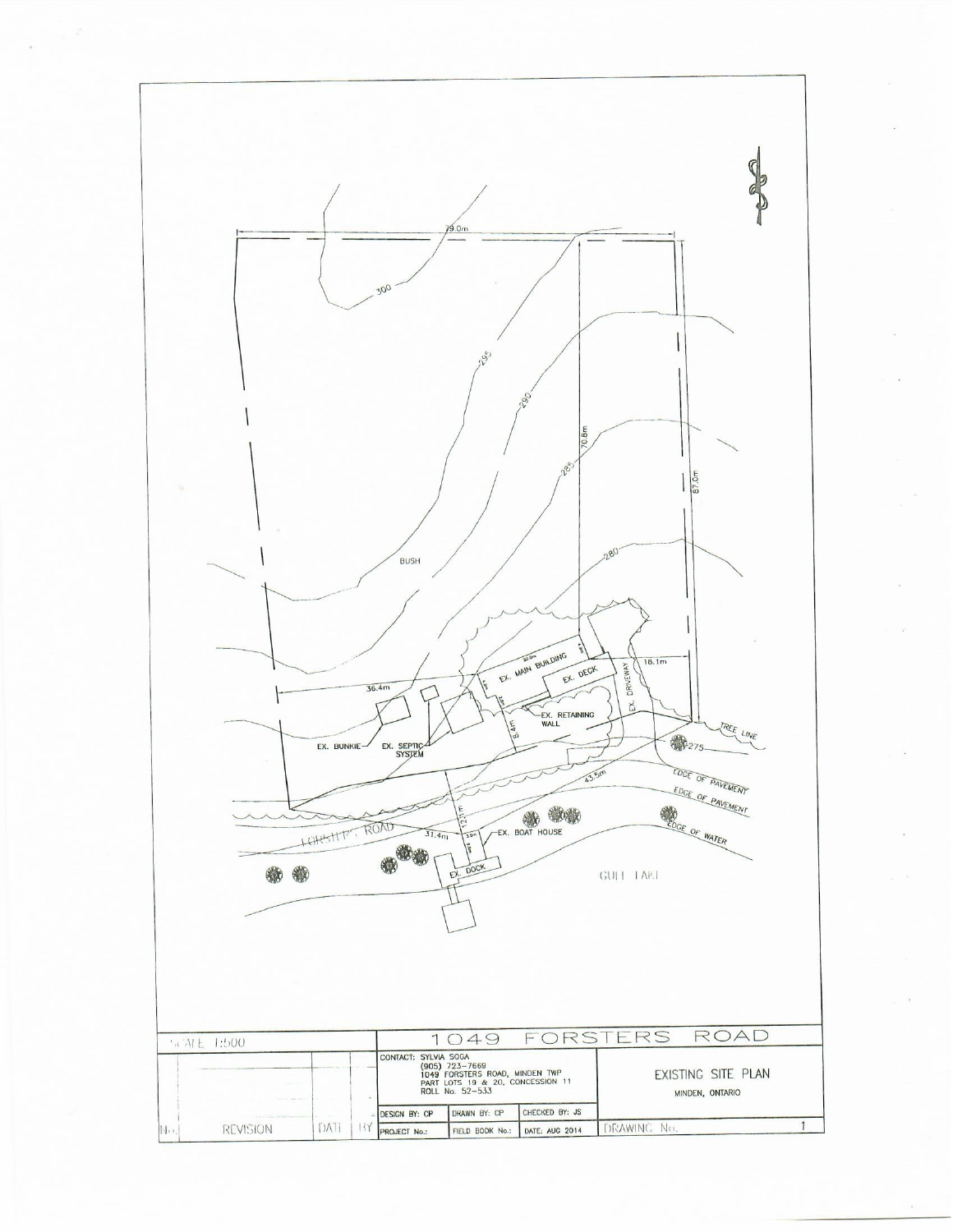